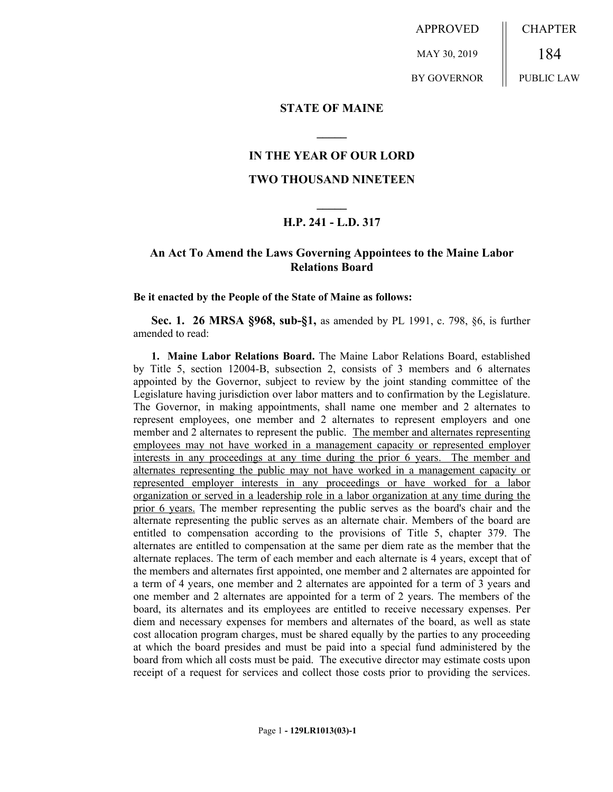APPROVED MAY 30, 2019 BY GOVERNOR CHAPTER 184 PUBLIC LAW

**STATE OF MAINE**

## **IN THE YEAR OF OUR LORD**

**\_\_\_\_\_**

## **TWO THOUSAND NINETEEN**

## **\_\_\_\_\_ H.P. 241 - L.D. 317**

## **An Act To Amend the Laws Governing Appointees to the Maine Labor Relations Board**

**Be it enacted by the People of the State of Maine as follows:**

**Sec. 1. 26 MRSA §968, sub-§1,** as amended by PL 1991, c. 798, §6, is further amended to read:

**1. Maine Labor Relations Board.** The Maine Labor Relations Board, established by Title 5, section 12004-B, subsection 2, consists of 3 members and 6 alternates appointed by the Governor, subject to review by the joint standing committee of the Legislature having jurisdiction over labor matters and to confirmation by the Legislature. The Governor, in making appointments, shall name one member and 2 alternates to represent employees, one member and 2 alternates to represent employers and one member and 2 alternates to represent the public. The member and alternates representing employees may not have worked in a management capacity or represented employer interests in any proceedings at any time during the prior 6 years. The member and alternates representing the public may not have worked in a management capacity or represented employer interests in any proceedings or have worked for a labor organization or served in a leadership role in a labor organization at any time during the prior 6 years. The member representing the public serves as the board's chair and the alternate representing the public serves as an alternate chair. Members of the board are entitled to compensation according to the provisions of Title 5, chapter 379. The alternates are entitled to compensation at the same per diem rate as the member that the alternate replaces. The term of each member and each alternate is 4 years, except that of the members and alternates first appointed, one member and 2 alternates are appointed for a term of 4 years, one member and 2 alternates are appointed for a term of 3 years and one member and 2 alternates are appointed for a term of 2 years. The members of the board, its alternates and its employees are entitled to receive necessary expenses. Per diem and necessary expenses for members and alternates of the board, as well as state cost allocation program charges, must be shared equally by the parties to any proceeding at which the board presides and must be paid into a special fund administered by the board from which all costs must be paid. The executive director may estimate costs upon receipt of a request for services and collect those costs prior to providing the services.